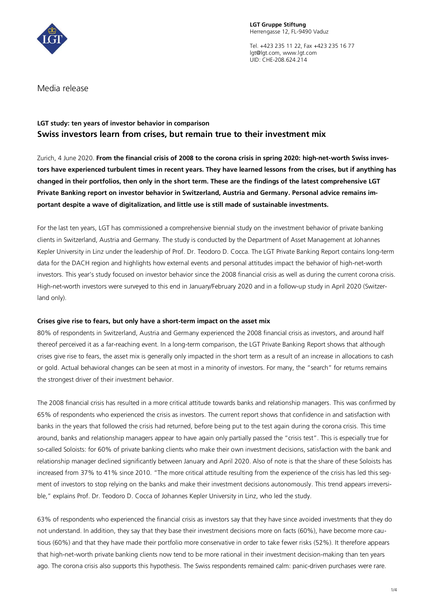

**LGT Gruppe Stiftung** Herrengasse 12, FL-9490 Vaduz

Tel. +423 235 11 22, Fax +423 235 16 77 lgt@lgt.com, www.lgt.com UID: CHE-208.624.214

Media release

# **LGT study: ten years of investor behavior in comparison Swiss investors learn from crises, but remain true to their investment mix**

Zurich, 4 June 2020. **From the financial crisis of 2008 to the corona crisis in spring 2020: high-net-worth Swiss investors have experienced turbulent times in recent years. They have learned lessons from the crises, but if anything has changed in their portfolios, then only in the short term. These are the findings of the latest comprehensive LGT Private Banking report on investor behavior in Switzerland, Austria and Germany. Personal advice remains important despite a wave of digitalization, and little use is still made of sustainable investments.**

For the last ten years, LGT has commissioned a comprehensive biennial study on the investment behavior of private banking clients in Switzerland, Austria and Germany. The study is conducted by the Department of Asset Management at Johannes Kepler University in Linz under the leadership of Prof. Dr. Teodoro D. Cocca. The LGT Private Banking Report contains long-term data for the DACH region and highlights how external events and personal attitudes impact the behavior of high-net-worth investors. This year's study focused on investor behavior since the 2008 financial crisis as well as during the current corona crisis. High-net-worth investors were surveyed to this end in January/February 2020 and in a follow-up study in April 2020 (Switzerland only).

## **Crises give rise to fears, but only have a short-term impact on the asset mix**

80% of respondents in Switzerland, Austria and Germany experienced the 2008 financial crisis as investors, and around half thereof perceived it as a far-reaching event. In a long-term comparison, the LGT Private Banking Report shows that although crises give rise to fears, the asset mix is generally only impacted in the short term as a result of an increase in allocations to cash or gold. Actual behavioral changes can be seen at most in a minority of investors. For many, the "search" for returns remains the strongest driver of their investment behavior.

The 2008 financial crisis has resulted in a more critical attitude towards banks and relationship managers. This was confirmed by 65% of respondents who experienced the crisis as investors. The current report shows that confidence in and satisfaction with banks in the years that followed the crisis had returned, before being put to the test again during the corona crisis. This time around, banks and relationship managers appear to have again only partially passed the "crisis test". This is especially true for so-called Soloists: for 60% of private banking clients who make their own investment decisions, satisfaction with the bank and relationship manager declined significantly between January and April 2020. Also of note is that the share of these Soloists has increased from 37% to 41% since 2010. "The more critical attitude resulting from the experience of the crisis has led this segment of investors to stop relying on the banks and make their investment decisions autonomously. This trend appears irreversible," explains Prof. Dr. Teodoro D. Cocca of Johannes Kepler University in Linz, who led the study.

63% of respondents who experienced the financial crisis as investors say that they have since avoided investments that they do not understand. In addition, they say that they base their investment decisions more on facts (60%), have become more cautious (60%) and that they have made their portfolio more conservative in order to take fewer risks (52%). It therefore appears that high-net-worth private banking clients now tend to be more rational in their investment decision-making than ten years ago. The corona crisis also supports this hypothesis. The Swiss respondents remained calm: panic-driven purchases were rare.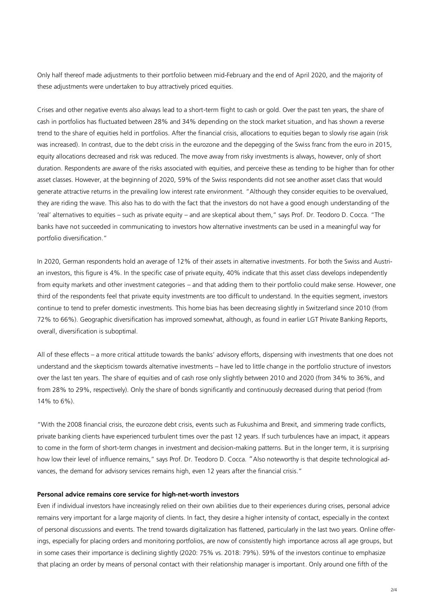Only half thereof made adjustments to their portfolio between mid-February and the end of April 2020, and the majority of these adjustments were undertaken to buy attractively priced equities.

Crises and other negative events also always lead to a short-term flight to cash or gold. Over the past ten years, the share of cash in portfolios has fluctuated between 28% and 34% depending on the stock market situation, and has shown a reverse trend to the share of equities held in portfolios. After the financial crisis, allocations to equities began to slowly rise again (risk was increased). In contrast, due to the debt crisis in the eurozone and the depegging of the Swiss franc from the euro in 2015, equity allocations decreased and risk was reduced. The move away from risky investments is always, however, only of short duration. Respondents are aware of the risks associated with equities, and perceive these as tending to be higher than for other asset classes. However, at the beginning of 2020, 59% of the Swiss respondents did not see another asset class that would generate attractive returns in the prevailing low interest rate environment. "Although they consider equities to be overvalued, they are riding the wave. This also has to do with the fact that the investors do not have a good enough understanding of the 'real' alternatives to equities – such as private equity – and are skeptical about them," says Prof. Dr. Teodoro D. Cocca. "The banks have not succeeded in communicating to investors how alternative investments can be used in a meaningful way for portfolio diversification."

In 2020, German respondents hold an average of 12% of their assets in alternative investments. For both the Swiss and Austrian investors, this figure is 4%. In the specific case of private equity, 40% indicate that this asset class develops independently from equity markets and other investment categories – and that adding them to their portfolio could make sense. However, one third of the respondents feel that private equity investments are too difficult to understand. In the equities segment, investors continue to tend to prefer domestic investments. This home bias has been decreasing slightly in Switzerland since 2010 (from 72% to 66%). Geographic diversification has improved somewhat, although, as found in earlier LGT Private Banking Reports, overall, diversification is suboptimal.

All of these effects – a more critical attitude towards the banks' advisory efforts, dispensing with investments that one does not understand and the skepticism towards alternative investments – have led to little change in the portfolio structure of investors over the last ten years. The share of equities and of cash rose only slightly between 2010 and 2020 (from 34% to 36%, and from 28% to 29%, respectively). Only the share of bonds significantly and continuously decreased during that period (from 14% to 6%).

"With the 2008 financial crisis, the eurozone debt crisis, events such as Fukushima and Brexit, and simmering trade conflicts, private banking clients have experienced turbulent times over the past 12 years. If such turbulences have an impact, it appears to come in the form of short-term changes in investment and decision-making patterns. But in the longer term, it is surprising how low their level of influence remains," says Prof. Dr. Teodoro D. Cocca. "Also noteworthy is that despite technological advances, the demand for advisory services remains high, even 12 years after the financial crisis."

### **Personal advice remains core service for high-net-worth investors**

Even if individual investors have increasingly relied on their own abilities due to their experiences during crises, personal advice remains very important for a large majority of clients. In fact, they desire a higher intensity of contact, especially in the context of personal discussions and events. The trend towards digitalization has flattened, particularly in the last two years. Online offerings, especially for placing orders and monitoring portfolios, are now of consistently high importance across all age groups, but in some cases their importance is declining slightly (2020: 75% vs. 2018: 79%). 59% of the investors continue to emphasize that placing an order by means of personal contact with their relationship manager is important. Only around one fifth of the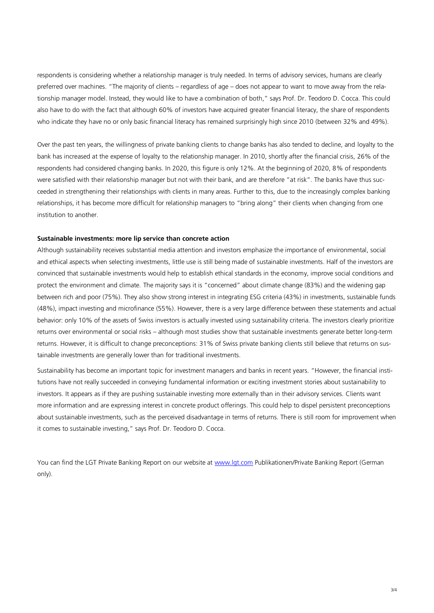respondents is considering whether a relationship manager is truly needed. In terms of advisory services, humans are clearly preferred over machines. "The majority of clients – regardless of age – does not appear to want to move away from the relationship manager model. Instead, they would like to have a combination of both," says Prof. Dr. Teodoro D. Cocca. This could also have to do with the fact that although 60% of investors have acquired greater financial literacy, the share of respondents who indicate they have no or only basic financial literacy has remained surprisingly high since 2010 (between 32% and 49%).

Over the past ten years, the willingness of private banking clients to change banks has also tended to decline, and loyalty to the bank has increased at the expense of loyalty to the relationship manager. In 2010, shortly after the financial crisis, 26% of the respondents had considered changing banks. In 2020, this figure is only 12%. At the beginning of 2020, 8% of respondents were satisfied with their relationship manager but not with their bank, and are therefore "at risk". The banks have thus succeeded in strengthening their relationships with clients in many areas. Further to this, due to the increasingly complex banking relationships, it has become more difficult for relationship managers to "bring along" their clients when changing from one institution to another.

#### **Sustainable investments: more lip service than concrete action**

Although sustainability receives substantial media attention and investors emphasize the importance of environmental, social and ethical aspects when selecting investments, little use is still being made of sustainable investments. Half of the investors are convinced that sustainable investments would help to establish ethical standards in the economy, improve social conditions and protect the environment and climate. The majority says it is "concerned" about climate change (83%) and the widening gap between rich and poor (75%). They also show strong interest in integrating ESG criteria (43%) in investments, sustainable funds (48%), impact investing and microfinance (55%). However, there is a very large difference between these statements and actual behavior: only 10% of the assets of Swiss investors is actually invested using sustainability criteria. The investors clearly prioritize returns over environmental or social risks – although most studies show that sustainable investments generate better long-term returns. However, it is difficult to change preconceptions: 31% of Swiss private banking clients still believe that returns on sustainable investments are generally lower than for traditional investments.

Sustainability has become an important topic for investment managers and banks in recent years. "However, the financial institutions have not really succeeded in conveying fundamental information or exciting investment stories about sustainability to investors. It appears as if they are pushing sustainable investing more externally than in their advisory services. Clients want more information and are expressing interest in concrete product offerings. This could help to dispel persistent preconceptions about sustainable investments, such as the perceived disadvantage in terms of returns. There is still room for improvement when it comes to sustainable investing," says Prof. Dr. Teodoro D. Cocca.

You can find the LGT Private Banking Report on our website at [www.lgt.com](http://www.lgt.com/) Publikationen/Private Banking Report (German only).